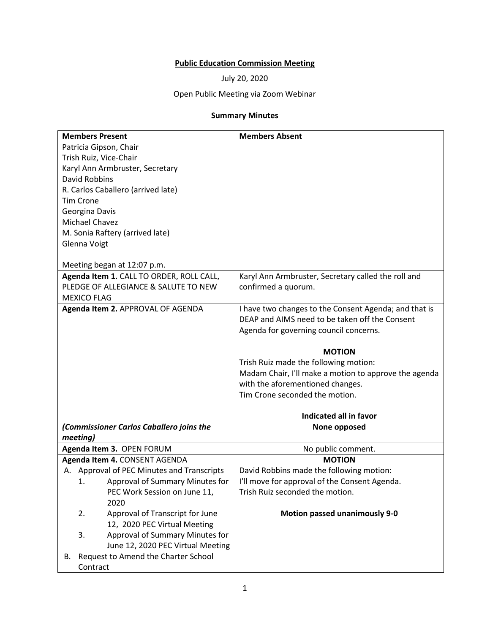## **Public Education Commission Meeting**

July 20, 2020

## Open Public Meeting via Zoom Webinar

## **Summary Minutes**

| <b>Members Present</b>                     | <b>Members Absent</b>                                 |
|--------------------------------------------|-------------------------------------------------------|
| Patricia Gipson, Chair                     |                                                       |
| Trish Ruiz, Vice-Chair                     |                                                       |
| Karyl Ann Armbruster, Secretary            |                                                       |
| <b>David Robbins</b>                       |                                                       |
| R. Carlos Caballero (arrived late)         |                                                       |
| <b>Tim Crone</b>                           |                                                       |
| Georgina Davis                             |                                                       |
| <b>Michael Chavez</b>                      |                                                       |
| M. Sonia Raftery (arrived late)            |                                                       |
|                                            |                                                       |
| Glenna Voigt                               |                                                       |
| Meeting began at 12:07 p.m.                |                                                       |
| Agenda Item 1. CALL TO ORDER, ROLL CALL,   | Karyl Ann Armbruster, Secretary called the roll and   |
| PLEDGE OF ALLEGIANCE & SALUTE TO NEW       | confirmed a quorum.                                   |
| <b>MEXICO FLAG</b>                         |                                                       |
| Agenda Item 2. APPROVAL OF AGENDA          | I have two changes to the Consent Agenda; and that is |
|                                            | DEAP and AIMS need to be taken off the Consent        |
|                                            | Agenda for governing council concerns.                |
|                                            |                                                       |
|                                            | <b>MOTION</b>                                         |
|                                            | Trish Ruiz made the following motion:                 |
|                                            | Madam Chair, I'll make a motion to approve the agenda |
|                                            | with the aforementioned changes.                      |
|                                            | Tim Crone seconded the motion.                        |
|                                            | Indicated all in favor                                |
| (Commissioner Carlos Caballero joins the   | None opposed                                          |
| meeting)                                   |                                                       |
| Agenda Item 3. OPEN FORUM                  | No public comment.                                    |
| Agenda Item 4. CONSENT AGENDA              | <b>MOTION</b>                                         |
| A. Approval of PEC Minutes and Transcripts | David Robbins made the following motion:              |
| Approval of Summary Minutes for<br>1.      | I'll move for approval of the Consent Agenda.         |
| PEC Work Session on June 11,               | Trish Ruiz seconded the motion.                       |
| 2020                                       |                                                       |
| 2.<br>Approval of Transcript for June      | <b>Motion passed unanimously 9-0</b>                  |
| 12, 2020 PEC Virtual Meeting               |                                                       |
| Approval of Summary Minutes for<br>3.      |                                                       |
| June 12, 2020 PEC Virtual Meeting          |                                                       |
| Request to Amend the Charter School<br>В.  |                                                       |
| Contract                                   |                                                       |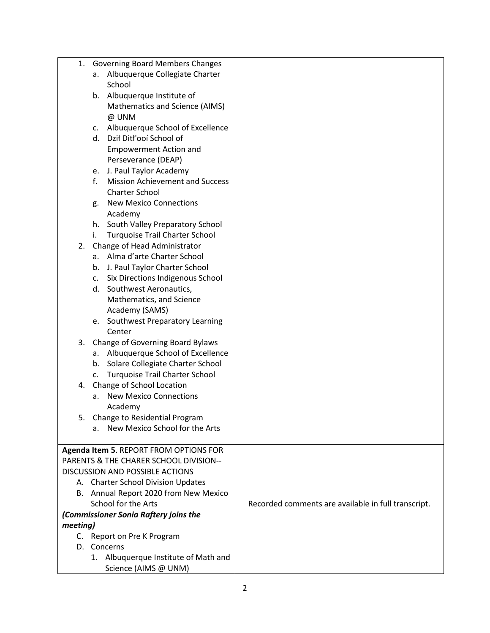| 1.       | <b>Governing Board Members Changes</b>                       |                                                     |
|----------|--------------------------------------------------------------|-----------------------------------------------------|
|          | Albuquerque Collegiate Charter<br>а.                         |                                                     |
|          | School                                                       |                                                     |
|          | b. Albuquerque Institute of                                  |                                                     |
|          | Mathematics and Science (AIMS)                               |                                                     |
|          | @ UNM                                                        |                                                     |
|          | c. Albuquerque School of Excellence                          |                                                     |
|          | d. Dził Ditł'ooí School of                                   |                                                     |
|          | <b>Empowerment Action and</b>                                |                                                     |
|          | Perseverance (DEAP)                                          |                                                     |
|          | e. J. Paul Taylor Academy                                    |                                                     |
|          | f.<br><b>Mission Achievement and Success</b>                 |                                                     |
|          | <b>Charter School</b>                                        |                                                     |
|          | <b>New Mexico Connections</b>                                |                                                     |
|          | g.                                                           |                                                     |
|          | Academy                                                      |                                                     |
|          | h. South Valley Preparatory School                           |                                                     |
|          | i.<br><b>Turquoise Trail Charter School</b>                  |                                                     |
| 2.       | Change of Head Administrator                                 |                                                     |
|          | a. Alma d'arte Charter School                                |                                                     |
|          | b. J. Paul Taylor Charter School                             |                                                     |
|          | c. Six Directions Indigenous School                          |                                                     |
|          | d. Southwest Aeronautics,                                    |                                                     |
|          | Mathematics, and Science                                     |                                                     |
|          | Academy (SAMS)                                               |                                                     |
|          | e. Southwest Preparatory Learning                            |                                                     |
|          | Center                                                       |                                                     |
| 3.       | Change of Governing Board Bylaws                             |                                                     |
|          | a. Albuquerque School of Excellence                          |                                                     |
|          | b. Solare Collegiate Charter School                          |                                                     |
|          | c. Turquoise Trail Charter School                            |                                                     |
| 4.       | Change of School Location                                    |                                                     |
|          | <b>New Mexico Connections</b><br>а.                          |                                                     |
|          | Academy                                                      |                                                     |
|          | 5. Change to Residential Program                             |                                                     |
|          | New Mexico School for the Arts<br>a.                         |                                                     |
|          |                                                              |                                                     |
|          | Agenda Item 5. REPORT FROM OPTIONS FOR                       |                                                     |
|          | PARENTS & THE CHARER SCHOOL DIVISION--                       |                                                     |
|          | <b>DISCUSSION AND POSSIBLE ACTIONS</b>                       |                                                     |
|          | A. Charter School Division Updates                           |                                                     |
|          |                                                              |                                                     |
|          | B. Annual Report 2020 from New Mexico<br>School for the Arts | Recorded comments are available in full transcript. |
|          |                                                              |                                                     |
|          | (Commissioner Sonia Raftery joins the                        |                                                     |
| meeting) |                                                              |                                                     |
|          | C. Report on Pre K Program                                   |                                                     |
|          | D. Concerns                                                  |                                                     |
|          | 1. Albuquerque Institute of Math and                         |                                                     |
|          | Science (AIMS @ UNM)                                         |                                                     |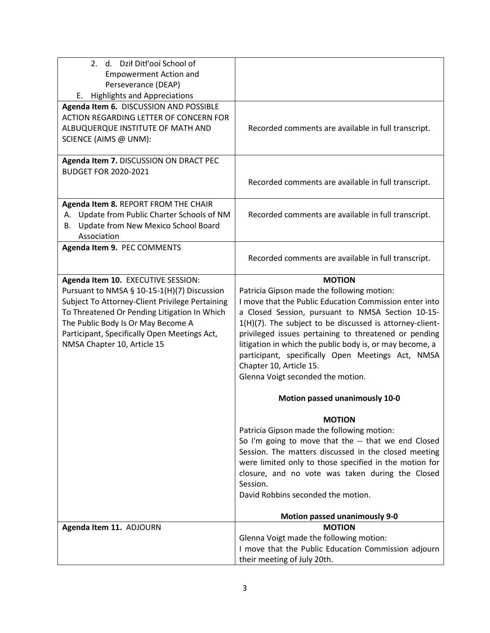| 2. d. Dził Ditł'ooí School of                   |                                                          |
|-------------------------------------------------|----------------------------------------------------------|
| <b>Empowerment Action and</b>                   |                                                          |
| Perseverance (DEAP)                             |                                                          |
| <b>Highlights and Appreciations</b><br>Е.       |                                                          |
| Agenda Item 6. DISCUSSION AND POSSIBLE          |                                                          |
| ACTION REGARDING LETTER OF CONCERN FOR          |                                                          |
|                                                 |                                                          |
| ALBUQUERQUE INSTITUTE OF MATH AND               | Recorded comments are available in full transcript.      |
| SCIENCE (AIMS @ UNM):                           |                                                          |
|                                                 |                                                          |
| Agenda Item 7. DISCUSSION ON DRACT PEC          |                                                          |
| <b>BUDGET FOR 2020-2021</b>                     |                                                          |
|                                                 | Recorded comments are available in full transcript.      |
|                                                 |                                                          |
| Agenda Item 8. REPORT FROM THE CHAIR            |                                                          |
| Update from Public Charter Schools of NM<br>А.  | Recorded comments are available in full transcript.      |
| Update from New Mexico School Board<br>В.       |                                                          |
| Association                                     |                                                          |
|                                                 |                                                          |
| Agenda Item 9. PEC COMMENTS                     |                                                          |
|                                                 | Recorded comments are available in full transcript.      |
|                                                 |                                                          |
| Agenda Item 10. EXECUTIVE SESSION:              | <b>MOTION</b>                                            |
| Pursuant to NMSA § 10-15-1(H)(7) Discussion     | Patricia Gipson made the following motion:               |
| Subject To Attorney-Client Privilege Pertaining | I move that the Public Education Commission enter into   |
| To Threatened Or Pending Litigation In Which    | a Closed Session, pursuant to NMSA Section 10-15-        |
| The Public Body Is Or May Become A              | 1(H)(7). The subject to be discussed is attorney-client- |
| Participant, Specifically Open Meetings Act,    | privileged issues pertaining to threatened or pending    |
| NMSA Chapter 10, Article 15                     | litigation in which the public body is, or may become, a |
|                                                 | participant, specifically Open Meetings Act, NMSA        |
|                                                 |                                                          |
|                                                 | Chapter 10, Article 15.                                  |
|                                                 | Glenna Voigt seconded the motion.                        |
|                                                 | Motion passed unanimously 10-0                           |
|                                                 |                                                          |
|                                                 | <b>MOTION</b>                                            |
|                                                 | Patricia Gipson made the following motion:               |
|                                                 | So I'm going to move that the -- that we end Closed      |
|                                                 | Session. The matters discussed in the closed meeting     |
|                                                 |                                                          |
|                                                 | were limited only to those specified in the motion for   |
|                                                 | closure, and no vote was taken during the Closed         |
|                                                 | Session.                                                 |
|                                                 | David Robbins seconded the motion.                       |
|                                                 |                                                          |
|                                                 | <b>Motion passed unanimously 9-0</b>                     |
| Agenda Item 11. ADJOURN                         | <b>MOTION</b>                                            |
|                                                 | Glenna Voigt made the following motion:                  |
|                                                 | I move that the Public Education Commission adjourn      |
|                                                 | their meeting of July 20th.                              |
|                                                 |                                                          |